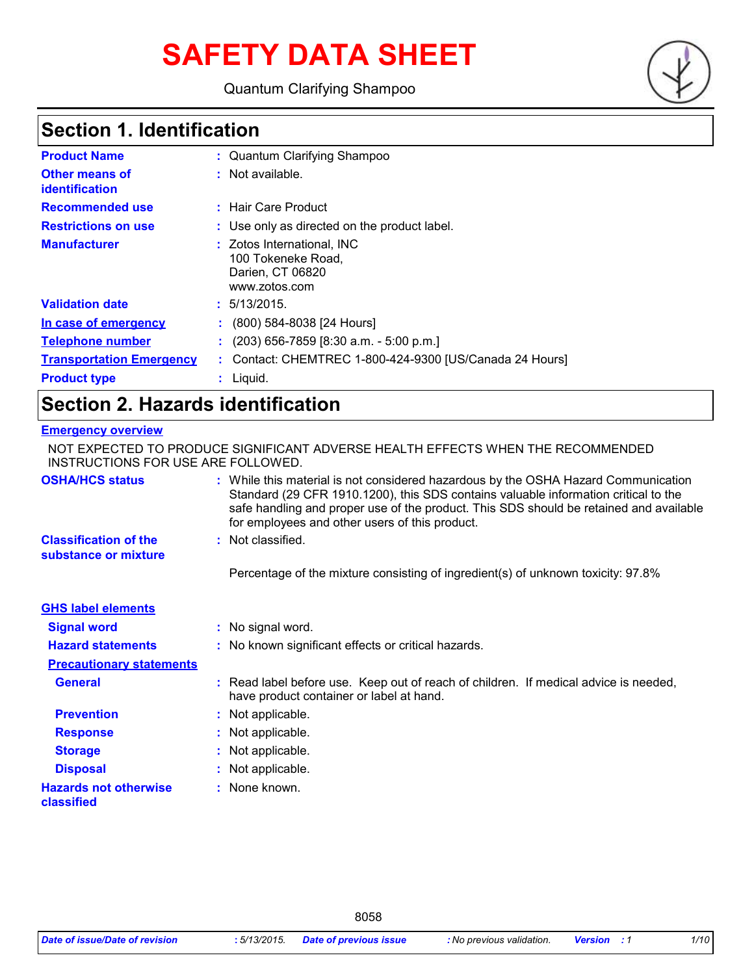# **SAFETY DATA SHEET**

Quantum Clarifying Shampoo

## **Section 1. Identification**

| <b>Product Name</b>                     | : Quantum Clarifying Shampoo                                                          |
|-----------------------------------------|---------------------------------------------------------------------------------------|
| <b>Other means of</b><br>identification | : Not available.                                                                      |
| <b>Recommended use</b>                  | : Hair Care Product                                                                   |
| <b>Restrictions on use</b>              | : Use only as directed on the product label.                                          |
| <b>Manufacturer</b>                     | : Zotos International, INC<br>100 Tokeneke Road,<br>Darien, CT 06820<br>www.zotos.com |
| <b>Validation date</b>                  | : 5/13/2015.                                                                          |
| In case of emergency                    | (800) 584-8038 [24 Hours]                                                             |
| <b>Telephone number</b>                 | (203) 656-7859 [8:30 a.m. - 5:00 p.m.]                                                |
| <b>Transportation Emergency</b>         | : Contact: CHEMTREC 1-800-424-9300 [US/Canada 24 Hours]                               |
| <b>Product type</b>                     | Liquid.                                                                               |

## **Section 2. Hazards identification**

### **Emergency overview**

| NOT EXPECTED TO PRODUCE SIGNIFICANT ADVERSE HEALTH EFFECTS WHEN THE RECOMMENDED<br>INSTRUCTIONS FOR USE ARE FOLLOWED. |  |                                                                                                                                                                                                                                                                                                                       |
|-----------------------------------------------------------------------------------------------------------------------|--|-----------------------------------------------------------------------------------------------------------------------------------------------------------------------------------------------------------------------------------------------------------------------------------------------------------------------|
| <b>OSHA/HCS status</b>                                                                                                |  | : While this material is not considered hazardous by the OSHA Hazard Communication<br>Standard (29 CFR 1910.1200), this SDS contains valuable information critical to the<br>safe handling and proper use of the product. This SDS should be retained and available<br>for employees and other users of this product. |
| <b>Classification of the</b><br>substance or mixture                                                                  |  | : Not classified.                                                                                                                                                                                                                                                                                                     |
|                                                                                                                       |  | Percentage of the mixture consisting of ingredient(s) of unknown toxicity: 97.8%                                                                                                                                                                                                                                      |
| <b>GHS label elements</b>                                                                                             |  |                                                                                                                                                                                                                                                                                                                       |
| <b>Signal word</b>                                                                                                    |  | : No signal word.                                                                                                                                                                                                                                                                                                     |
| <b>Hazard statements</b>                                                                                              |  | : No known significant effects or critical hazards.                                                                                                                                                                                                                                                                   |
| <b>Precautionary statements</b>                                                                                       |  |                                                                                                                                                                                                                                                                                                                       |
| <b>General</b>                                                                                                        |  | : Read label before use. Keep out of reach of children. If medical advice is needed,<br>have product container or label at hand.                                                                                                                                                                                      |
| <b>Prevention</b>                                                                                                     |  | : Not applicable.                                                                                                                                                                                                                                                                                                     |
| <b>Response</b>                                                                                                       |  | : Not applicable.                                                                                                                                                                                                                                                                                                     |
| <b>Storage</b>                                                                                                        |  | : Not applicable.                                                                                                                                                                                                                                                                                                     |
| <b>Disposal</b>                                                                                                       |  | : Not applicable.                                                                                                                                                                                                                                                                                                     |
| <b>Hazards not otherwise</b><br>classified                                                                            |  | : None known.                                                                                                                                                                                                                                                                                                         |

8058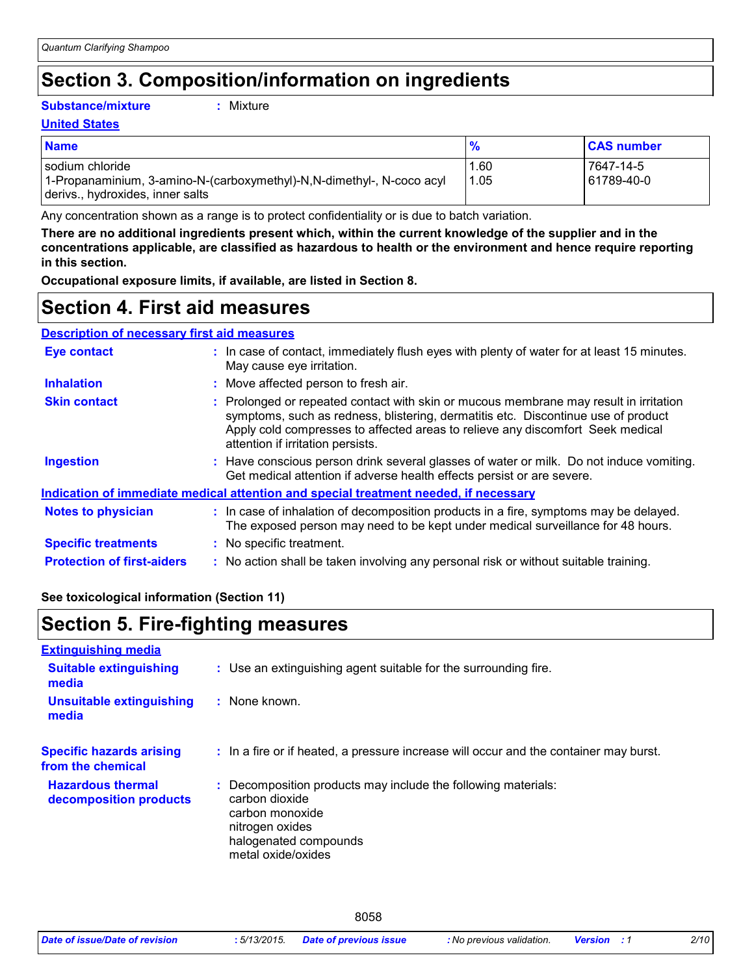## **Section 3. Composition/information on ingredients**

### **Substance/mixture :**

: Mixture

### **United States**

| <b>Name</b>                                                                                                                    |              | <b>CAS number</b>       |
|--------------------------------------------------------------------------------------------------------------------------------|--------------|-------------------------|
| l sodium chloride<br>1-Propanaminium, 3-amino-N-(carboxymethyl)-N,N-dimethyl-, N-coco acyl<br>derivs., hydroxides, inner salts | .60،<br>1.05 | 7647-14-5<br>61789-40-0 |

Any concentration shown as a range is to protect confidentiality or is due to batch variation.

**There are no additional ingredients present which, within the current knowledge of the supplier and in the concentrations applicable, are classified as hazardous to health or the environment and hence require reporting in this section.**

**Occupational exposure limits, if available, are listed in Section 8.**

## **Section 4. First aid measures**

### **Description of necessary first aid measures**

| <b>Eye contact</b>                                                                          |  | : In case of contact, immediately flush eyes with plenty of water for at least 15 minutes.<br>May cause eye irritation.                                                                                                                                                                           |  |
|---------------------------------------------------------------------------------------------|--|---------------------------------------------------------------------------------------------------------------------------------------------------------------------------------------------------------------------------------------------------------------------------------------------------|--|
| <b>Inhalation</b>                                                                           |  | : Move affected person to fresh air.                                                                                                                                                                                                                                                              |  |
| <b>Skin contact</b>                                                                         |  | : Prolonged or repeated contact with skin or mucous membrane may result in irritation<br>symptoms, such as redness, blistering, dermatitis etc. Discontinue use of product<br>Apply cold compresses to affected areas to relieve any discomfort Seek medical<br>attention if irritation persists. |  |
| Ingestion                                                                                   |  | : Have conscious person drink several glasses of water or milk. Do not induce vomiting.<br>Get medical attention if adverse health effects persist or are severe.                                                                                                                                 |  |
| <u>Indication of immediate medical attention and special treatment needed, if necessary</u> |  |                                                                                                                                                                                                                                                                                                   |  |
| <b>Notes to physician</b>                                                                   |  | : In case of inhalation of decomposition products in a fire, symptoms may be delayed.<br>The exposed person may need to be kept under medical surveillance for 48 hours.                                                                                                                          |  |
| <b>Specific treatments</b>                                                                  |  | : No specific treatment.                                                                                                                                                                                                                                                                          |  |
| <b>Protection of first-aiders</b>                                                           |  | : No action shall be taken involving any personal risk or without suitable training.                                                                                                                                                                                                              |  |

### **See toxicological information (Section 11)**

## **Section 5. Fire-fighting measures**

| <b>Extinguishing media</b>                           |                                                                                                                                                                      |
|------------------------------------------------------|----------------------------------------------------------------------------------------------------------------------------------------------------------------------|
| <b>Suitable extinguishing</b><br>media               | : Use an extinguishing agent suitable for the surrounding fire.                                                                                                      |
| Unsuitable extinguishing<br>media                    | : None known.                                                                                                                                                        |
| <b>Specific hazards arising</b><br>from the chemical | : In a fire or if heated, a pressure increase will occur and the container may burst.                                                                                |
| <b>Hazardous thermal</b><br>decomposition products   | : Decomposition products may include the following materials:<br>carbon dioxide<br>carbon monoxide<br>nitrogen oxides<br>halogenated compounds<br>metal oxide/oxides |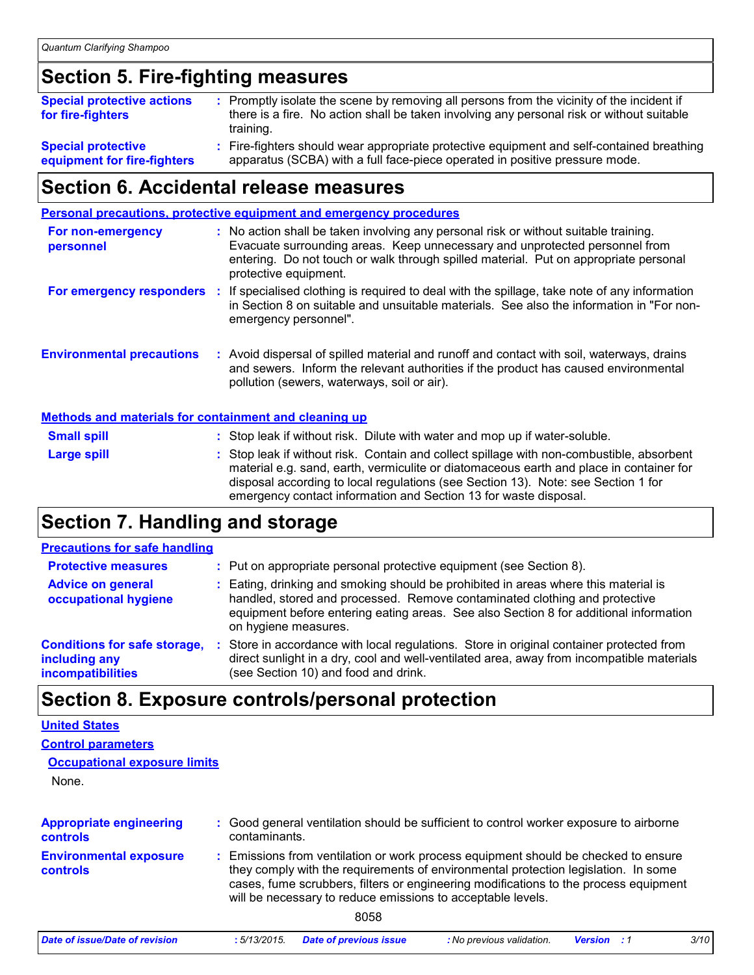## **Section 5. Fire-fighting measures**

| <b>Special protective actions</b><br>for fire-fighters   | : Promptly isolate the scene by removing all persons from the vicinity of the incident if<br>there is a fire. No action shall be taken involving any personal risk or without suitable<br>training. |
|----------------------------------------------------------|-----------------------------------------------------------------------------------------------------------------------------------------------------------------------------------------------------|
| <b>Special protective</b><br>equipment for fire-fighters | : Fire-fighters should wear appropriate protective equipment and self-contained breathing<br>apparatus (SCBA) with a full face-piece operated in positive pressure mode.                            |

## **Section 6. Accidental release measures**

|                                                              |  | <b>Personal precautions, protective equipment and emergency procedures</b>                                                                                                                                                                                                                                                                    |  |
|--------------------------------------------------------------|--|-----------------------------------------------------------------------------------------------------------------------------------------------------------------------------------------------------------------------------------------------------------------------------------------------------------------------------------------------|--|
| For non-emergency<br>personnel                               |  | : No action shall be taken involving any personal risk or without suitable training.<br>Evacuate surrounding areas. Keep unnecessary and unprotected personnel from<br>entering. Do not touch or walk through spilled material. Put on appropriate personal<br>protective equipment.                                                          |  |
|                                                              |  | For emergency responders : If specialised clothing is required to deal with the spillage, take note of any information<br>in Section 8 on suitable and unsuitable materials. See also the information in "For non-<br>emergency personnel".                                                                                                   |  |
| <b>Environmental precautions</b>                             |  | : Avoid dispersal of spilled material and runoff and contact with soil, waterways, drains<br>and sewers. Inform the relevant authorities if the product has caused environmental<br>pollution (sewers, waterways, soil or air).                                                                                                               |  |
| <b>Methods and materials for containment and cleaning up</b> |  |                                                                                                                                                                                                                                                                                                                                               |  |
| <b>Small spill</b>                                           |  | : Stop leak if without risk. Dilute with water and mop up if water-soluble.                                                                                                                                                                                                                                                                   |  |
| <b>Large spill</b>                                           |  | : Stop leak if without risk. Contain and collect spillage with non-combustible, absorbent<br>material e.g. sand, earth, vermiculite or diatomaceous earth and place in container for<br>disposal according to local regulations (see Section 13). Note: see Section 1 for<br>emergency contact information and Section 13 for waste disposal. |  |

## **Section 7. Handling and storage**

## **Precautions for safe handling**

| <b>Protective measures</b>                                                       | : Put on appropriate personal protective equipment (see Section 8).                                                                                                                                                                                                                |
|----------------------------------------------------------------------------------|------------------------------------------------------------------------------------------------------------------------------------------------------------------------------------------------------------------------------------------------------------------------------------|
| <b>Advice on general</b><br>occupational hygiene                                 | : Eating, drinking and smoking should be prohibited in areas where this material is<br>handled, stored and processed. Remove contaminated clothing and protective<br>equipment before entering eating areas. See also Section 8 for additional information<br>on hygiene measures. |
| <b>Conditions for safe storage,</b><br>including any<br><b>incompatibilities</b> | Store in accordance with local regulations. Store in original container protected from<br>direct sunlight in a dry, cool and well-ventilated area, away from incompatible materials<br>(see Section 10) and food and drink.                                                        |

## **Section 8. Exposure controls/personal protection**

| <b>United States</b>                |
|-------------------------------------|
| <b>Control parameters</b>           |
| <b>Occupational exposure limits</b> |

None.

| <b>Appropriate engineering</b><br><b>controls</b> | : Good general ventilation should be sufficient to control worker exposure to airborne<br>contaminants.                                                                                                                                                                                                                         |
|---------------------------------------------------|---------------------------------------------------------------------------------------------------------------------------------------------------------------------------------------------------------------------------------------------------------------------------------------------------------------------------------|
| <b>Environmental exposure</b><br><b>controls</b>  | : Emissions from ventilation or work process equipment should be checked to ensure<br>they comply with the requirements of environmental protection legislation. In some<br>cases, fume scrubbers, filters or engineering modifications to the process equipment<br>will be necessary to reduce emissions to acceptable levels. |
|                                                   | 8058                                                                                                                                                                                                                                                                                                                            |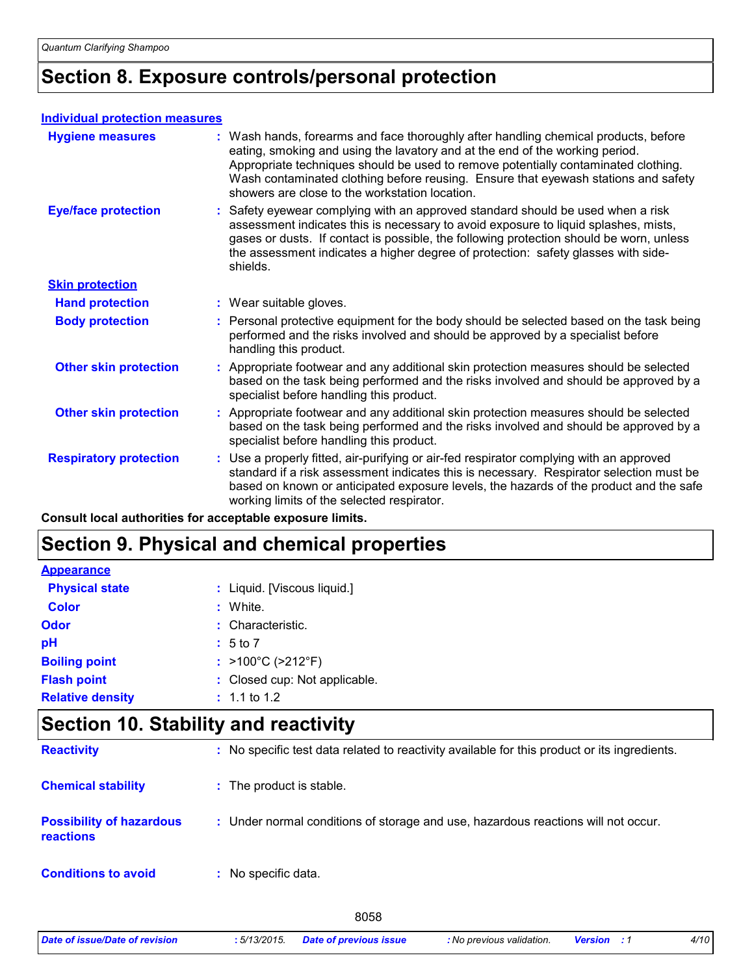## **Section 8. Exposure controls/personal protection**

### **Individual protection measures**

| <b>Hygiene measures</b>       | : Wash hands, forearms and face thoroughly after handling chemical products, before<br>eating, smoking and using the lavatory and at the end of the working period.<br>Appropriate techniques should be used to remove potentially contaminated clothing.<br>Wash contaminated clothing before reusing. Ensure that eyewash stations and safety<br>showers are close to the workstation location. |
|-------------------------------|---------------------------------------------------------------------------------------------------------------------------------------------------------------------------------------------------------------------------------------------------------------------------------------------------------------------------------------------------------------------------------------------------|
| <b>Eye/face protection</b>    | : Safety eyewear complying with an approved standard should be used when a risk<br>assessment indicates this is necessary to avoid exposure to liquid splashes, mists,<br>gases or dusts. If contact is possible, the following protection should be worn, unless<br>the assessment indicates a higher degree of protection: safety glasses with side-<br>shields.                                |
| <b>Skin protection</b>        |                                                                                                                                                                                                                                                                                                                                                                                                   |
| <b>Hand protection</b>        | : Wear suitable gloves.                                                                                                                                                                                                                                                                                                                                                                           |
| <b>Body protection</b>        | : Personal protective equipment for the body should be selected based on the task being<br>performed and the risks involved and should be approved by a specialist before<br>handling this product.                                                                                                                                                                                               |
| <b>Other skin protection</b>  | : Appropriate footwear and any additional skin protection measures should be selected<br>based on the task being performed and the risks involved and should be approved by a<br>specialist before handling this product.                                                                                                                                                                         |
| <b>Other skin protection</b>  | : Appropriate footwear and any additional skin protection measures should be selected<br>based on the task being performed and the risks involved and should be approved by a<br>specialist before handling this product.                                                                                                                                                                         |
| <b>Respiratory protection</b> | : Use a properly fitted, air-purifying or air-fed respirator complying with an approved<br>standard if a risk assessment indicates this is necessary. Respirator selection must be<br>based on known or anticipated exposure levels, the hazards of the product and the safe<br>working limits of the selected respirator.                                                                        |

**Consult local authorities for acceptable exposure limits.**

## **Section 9. Physical and chemical properties**

| <b>Appearance</b>       |                                        |
|-------------------------|----------------------------------------|
| <b>Physical state</b>   | : Liquid. [Viscous liquid.]            |
| <b>Color</b>            | : White.                               |
| Odor                    | : Characteristic.                      |
| рH                      | : 5 to 7                               |
| <b>Boiling point</b>    | : $>100^{\circ}$ C ( $>212^{\circ}$ F) |
| <b>Flash point</b>      | : Closed cup: Not applicable.          |
| <b>Relative density</b> | $: 1.1$ to 1.2                         |

## **Section 10. Stability and reactivity**

| <b>Reactivity</b>                            | : No specific test data related to reactivity available for this product or its ingredients. |
|----------------------------------------------|----------------------------------------------------------------------------------------------|
| <b>Chemical stability</b>                    | : The product is stable.                                                                     |
| <b>Possibility of hazardous</b><br>reactions | : Under normal conditions of storage and use, hazardous reactions will not occur.            |
| <b>Conditions to avoid</b>                   | : No specific data.                                                                          |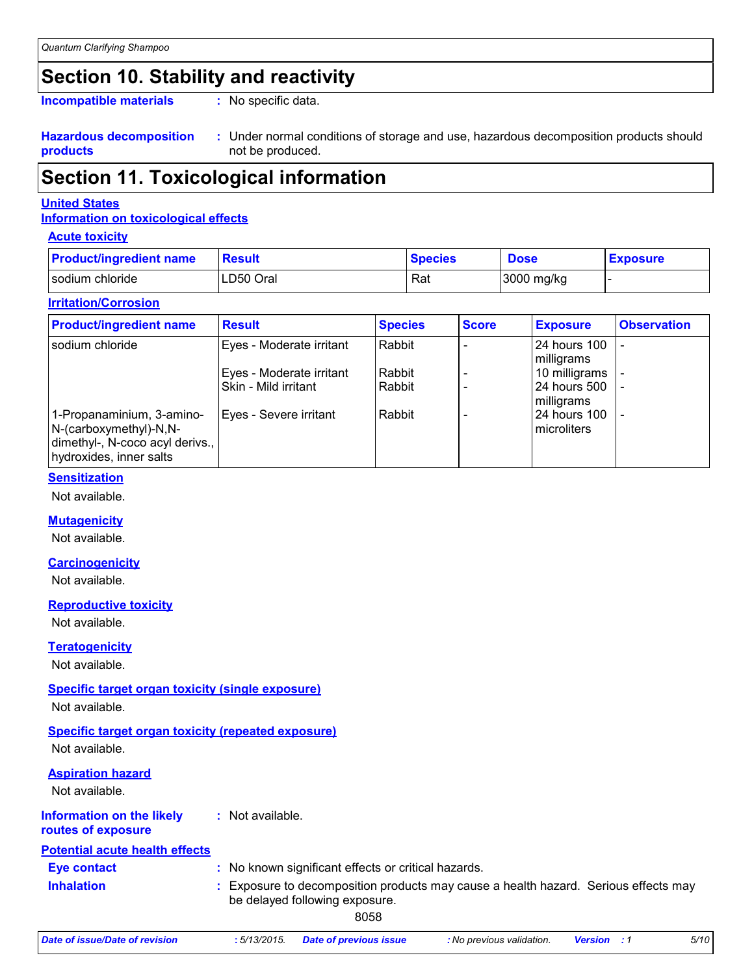## **Section 10. Stability and reactivity**

**Incompatible materials :**

: No specific data.

**Hazardous decomposition products**

Under normal conditions of storage and use, hazardous decomposition products should **:** not be produced.

## **Section 11. Toxicological information**

### **United States**

### **Information on toxicological effects**

### **Acute toxicity**

| <b>Product/ingredient name</b> | <b>Result</b> | <b>Species</b> | <b>Dose</b> | <b>Exposure</b> |
|--------------------------------|---------------|----------------|-------------|-----------------|
| I sodium chloride              | LD50 Oral     | Rat            | 3000 mg/kg  |                 |

### **Irritation/Corrosion**

| <b>Product/ingredient name</b>                                                                                    | <b>Result</b>                                    | <b>Species</b>   | <b>Score</b> | <b>Exposure</b>                             | <b>Observation</b> |
|-------------------------------------------------------------------------------------------------------------------|--------------------------------------------------|------------------|--------------|---------------------------------------------|--------------------|
| l sodium chloride                                                                                                 | Eyes - Moderate irritant                         | Rabbit           |              | 24 hours 100<br>milligrams                  |                    |
|                                                                                                                   | Eyes - Moderate irritant<br>Skin - Mild irritant | Rabbit<br>Rabbit |              | 10 milligrams<br>24 hours 500<br>milligrams |                    |
| 1-Propanaminium, 3-amino-<br>N-(carboxymethyl)-N,N-<br>dimethyl-, N-coco acyl derivs.,<br>hydroxides, inner salts | Eyes - Severe irritant                           | Rabbit           |              | 24 hours 100<br>microliters                 |                    |

### **Sensitization**

Not available.

## **Mutagenicity**

Not available.

### **Carcinogenicity**

Not available.

### **Reproductive toxicity**

Not available.

### **Teratogenicity**

Not available.

## **Specific target organ toxicity (single exposure)**

Not available.

## **Specific target organ toxicity (repeated exposure)**

Not available.

## **Aspiration hazard**

Not available.

#### **Information on the likely :** Not available.

**routes of exposure**

## **Potential acute health effects**

| <b>Eye contact</b> | : No known significant effects or critical hazards.                                                                 |
|--------------------|---------------------------------------------------------------------------------------------------------------------|
| <b>Inhalation</b>  | Exposure to decomposition products may cause a health hazard. Serious effects may<br>be delayed following exposure. |

8058

*Date of issue/Date of revision* **:** *5/13/2015. Date of previous issue : No previous validation. Version : 1 5/10*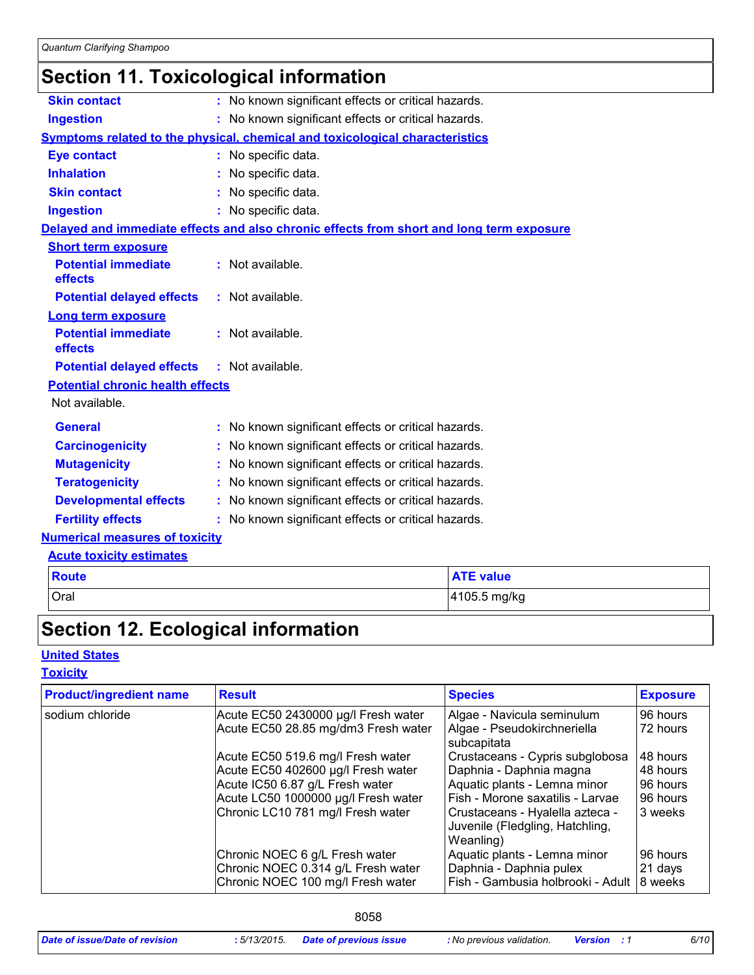## **Section 11. Toxicological information**

| <b>Skin contact</b>                     | : No known significant effects or critical hazards.                                      |
|-----------------------------------------|------------------------------------------------------------------------------------------|
| <b>Ingestion</b>                        | : No known significant effects or critical hazards.                                      |
|                                         | Symptoms related to the physical, chemical and toxicological characteristics             |
| <b>Eye contact</b>                      | : No specific data.                                                                      |
| <b>Inhalation</b>                       | : No specific data.                                                                      |
| <b>Skin contact</b>                     | : No specific data.                                                                      |
| <b>Ingestion</b>                        | : No specific data.                                                                      |
|                                         | Delayed and immediate effects and also chronic effects from short and long term exposure |
| <b>Short term exposure</b>              |                                                                                          |
| <b>Potential immediate</b><br>effects   | : Not available.                                                                         |
| <b>Potential delayed effects</b>        | : Not available.                                                                         |
| <b>Long term exposure</b>               |                                                                                          |
| <b>Potential immediate</b><br>effects   | : Not available.                                                                         |
| <b>Potential delayed effects</b>        | : Not available.                                                                         |
| <b>Potential chronic health effects</b> |                                                                                          |
| Not available.                          |                                                                                          |
| <b>General</b>                          | : No known significant effects or critical hazards.                                      |
| <b>Carcinogenicity</b>                  | : No known significant effects or critical hazards.                                      |
| <b>Mutagenicity</b>                     | : No known significant effects or critical hazards.                                      |
| <b>Teratogenicity</b>                   | : No known significant effects or critical hazards.                                      |
| <b>Developmental effects</b>            | : No known significant effects or critical hazards.                                      |
| <b>Fertility effects</b>                | : No known significant effects or critical hazards.                                      |
| <b>Numerical measures of toxicity</b>   |                                                                                          |
| <b>Acute toxicity estimates</b>         |                                                                                          |
|                                         |                                                                                          |

| Route | <b>ATE value</b> |
|-------|------------------|
| Oral  | 4105.5 mg/kg     |

## **Section 12. Ecological information**

## **United States**

## **Toxicity**

| <b>Product/ingredient name</b><br><b>Result</b> |                                                                                                           | <b>Species</b>                                                                               | <b>Exposure</b>                |
|-------------------------------------------------|-----------------------------------------------------------------------------------------------------------|----------------------------------------------------------------------------------------------|--------------------------------|
| sodium chloride                                 | Acute EC50 2430000 µg/l Fresh water                                                                       | Algae - Navicula seminulum                                                                   | 96 hours                       |
|                                                 | Acute EC50 28.85 mg/dm3 Fresh water                                                                       | Algae - Pseudokirchneriella<br>subcapitata                                                   | 72 hours                       |
|                                                 | Acute EC50 519.6 mg/l Fresh water                                                                         | Crustaceans - Cypris subglobosa                                                              | 48 hours                       |
|                                                 | Acute EC50 402600 µg/l Fresh water                                                                        | Daphnia - Daphnia magna                                                                      | 48 hours                       |
|                                                 | Acute IC50 6.87 g/L Fresh water                                                                           | Aquatic plants - Lemna minor                                                                 | 96 hours                       |
|                                                 | Acute LC50 1000000 µg/l Fresh water                                                                       | Fish - Morone saxatilis - Larvae                                                             | 96 hours                       |
|                                                 | Chronic LC10 781 mg/l Fresh water                                                                         | Crustaceans - Hyalella azteca -<br>Juvenile (Fledgling, Hatchling,<br>Weanling)              | 3 weeks                        |
|                                                 | Chronic NOEC 6 g/L Fresh water<br>Chronic NOEC 0.314 g/L Fresh water<br>Chronic NOEC 100 mg/l Fresh water | Aquatic plants - Lemna minor<br>Daphnia - Daphnia pulex<br>Fish - Gambusia holbrooki - Adult | 96 hours<br>21 days<br>8 weeks |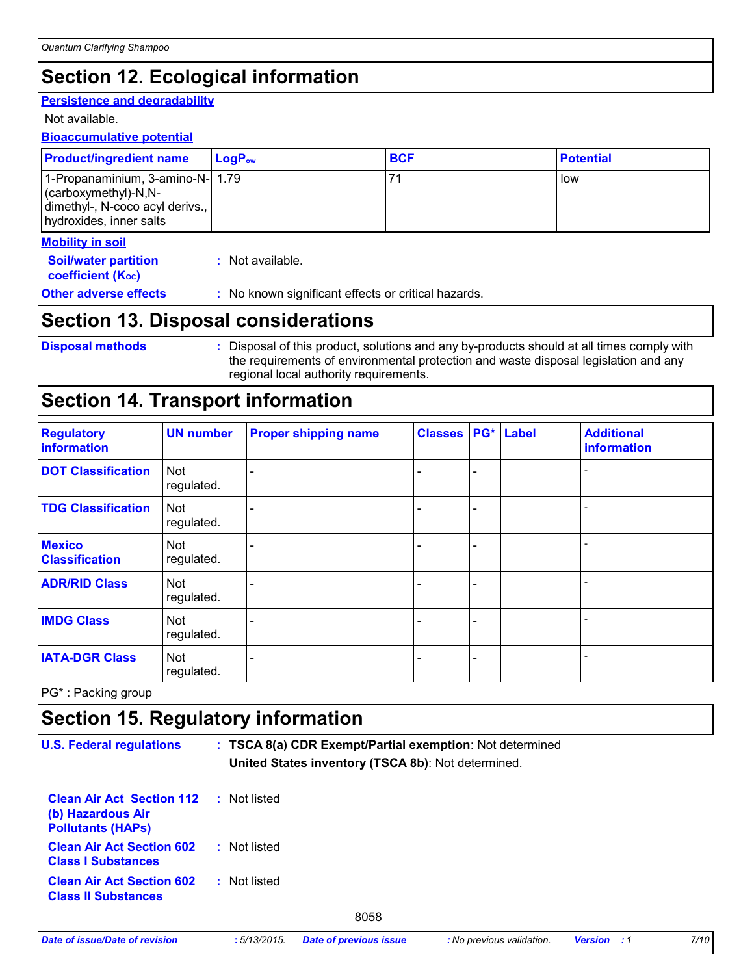## **Section 12. Ecological information**

### **Persistence and degradability**

Not available.

### **Bioaccumulative potential**

| <b>Product/ingredient name</b>                                                                                                 | LogP <sub>ow</sub> | <b>BCF</b> | <b>Potential</b> |
|--------------------------------------------------------------------------------------------------------------------------------|--------------------|------------|------------------|
| 1-Propanaminium, 3-amino-N- 1.79<br>$\vert$ (carboxymethyl)-N,N-<br>dimethyl-, N-coco acyl derivs.,<br>hydroxides, inner salts |                    |            | low              |
| <b>Mobility in soil</b>                                                                                                        |                    |            |                  |
| <b>Cailbuston nontition</b>                                                                                                    | . Not ovojlohlo    |            |                  |

| <b>Soil/water partition</b>    | : Not available. |  |
|--------------------------------|------------------|--|
| coefficient (K <sub>oc</sub> ) |                  |  |

**Other adverse effects** : No known significant effects or critical hazards.

## **Section 13. Disposal considerations**

**Disposal methods :**

Disposal of this product, solutions and any by-products should at all times comply with the requirements of environmental protection and waste disposal legislation and any regional local authority requirements.

## **Section 14. Transport information**

| <b>Regulatory</b><br><b>information</b> | <b>UN number</b>         | <b>Proper shipping name</b> | <b>Classes</b> | PG*                      | Label | <b>Additional</b><br>information |
|-----------------------------------------|--------------------------|-----------------------------|----------------|--------------------------|-------|----------------------------------|
| <b>DOT Classification</b>               | <b>Not</b><br>regulated. |                             |                | $\overline{\phantom{0}}$ |       |                                  |
| <b>TDG Classification</b>               | <b>Not</b><br>regulated. |                             |                | ۰                        |       |                                  |
| <b>Mexico</b><br><b>Classification</b>  | Not<br>regulated.        |                             |                | ۰                        |       |                                  |
| <b>ADR/RID Class</b>                    | <b>Not</b><br>regulated. |                             |                |                          |       |                                  |
| <b>IMDG Class</b>                       | Not<br>regulated.        |                             |                | -                        |       |                                  |
| <b>IATA-DGR Class</b>                   | Not<br>regulated.        |                             |                | ۰                        |       |                                  |

PG\* : Packing group

## **Section 15. Regulatory information**

| <b>U.S. Federal regulations</b>                                                   | : TSCA 8(a) CDR Exempt/Partial exemption: Not determined<br>United States inventory (TSCA 8b): Not determined. |
|-----------------------------------------------------------------------------------|----------------------------------------------------------------------------------------------------------------|
| <b>Clean Air Act Section 112</b><br>(b) Hazardous Air<br><b>Pollutants (HAPS)</b> | : Not listed                                                                                                   |
| <b>Clean Air Act Section 602</b><br><b>Class I Substances</b>                     | : Not listed                                                                                                   |
| <b>Clean Air Act Section 602</b><br><b>Class II Substances</b>                    | : Not listed                                                                                                   |
|                                                                                   | $\sim$ $\sim$ $\sim$                                                                                           |

8058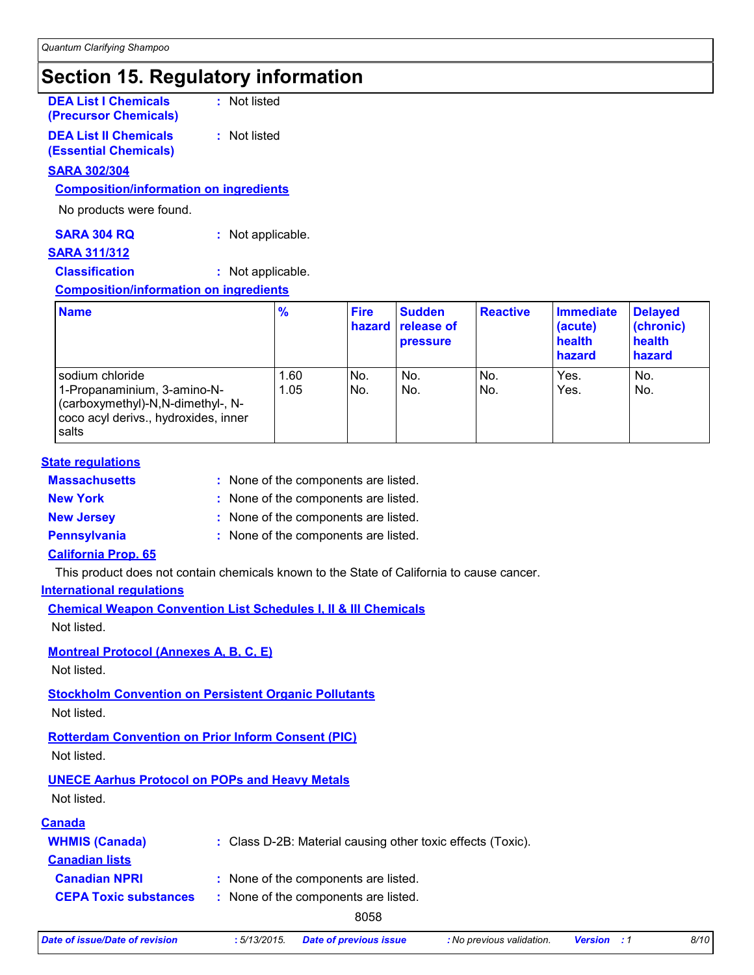## **Section 15. Regulatory information**

**DEA List I Chemicals (Precursor Chemicals)** **:** Not listed

**DEA List II Chemicals (Essential Chemicals)** **:** Not listed

## **SARA 302/304**

**Composition/information on ingredients**

No products were found.

| <b>SARA 304 RQ</b> | : Not applicable. |
|--------------------|-------------------|
|--------------------|-------------------|

## **SARA 311/312**

**Classification :** Not applicable.

### **Composition/information on ingredients**

| <b>Name</b>                                                                                                                          | $\frac{9}{6}$ | <b>Fire</b><br>hazard | <b>Sudden</b><br>release of<br><b>pressure</b> | <b>Reactive</b> | <b>Immediate</b><br>(acute)<br>health<br>hazard | <b>Delayed</b><br>(chronic)<br>health<br>hazard |
|--------------------------------------------------------------------------------------------------------------------------------------|---------------|-----------------------|------------------------------------------------|-----------------|-------------------------------------------------|-------------------------------------------------|
| sodium chloride<br>1-Propanaminium, 3-amino-N-<br>(carboxymethyl)-N,N-dimethyl-, N-<br>coco acyl derivs., hydroxides, inner<br>salts | 1.60<br>1.05  | No.<br>No.            | No.<br>No.                                     | No.<br>No.      | Yes.<br>Yes.                                    | No.<br>No.                                      |

### **State regulations**

| <b>Massachusetts</b> | : None of the components are listed. |
|----------------------|--------------------------------------|
| <b>New York</b>      | : None of the components are listed. |

**New Jersey :** None of the components are listed.

**Pennsylvania :** None of the components are listed.

## **California Prop. 65**

This product does not contain chemicals known to the State of California to cause cancer.

## **International regulations**

|             | <b>Chemical Weapon Convention List Schedules I, II &amp; III Chemicals</b> |  |  |
|-------------|----------------------------------------------------------------------------|--|--|
| Not listed. |                                                                            |  |  |

**Montreal Protocol (Annexes A, B, C, E)**

Not listed.

**Stockholm Convention on Persistent Organic Pollutants**

Not listed.

## **Rotterdam Convention on Prior Inform Consent (PIC)**

Not listed.

## **UNECE Aarhus Protocol on POPs and Heavy Metals**

Not listed.

| <u>Canada</u>                |                                                             |
|------------------------------|-------------------------------------------------------------|
| <b>WHMIS (Canada)</b>        | : Class D-2B: Material causing other toxic effects (Toxic). |
| <b>Canadian lists</b>        |                                                             |
| <b>Canadian NPRI</b>         | : None of the components are listed.                        |
| <b>CEPA Toxic substances</b> | : None of the components are listed.                        |

8058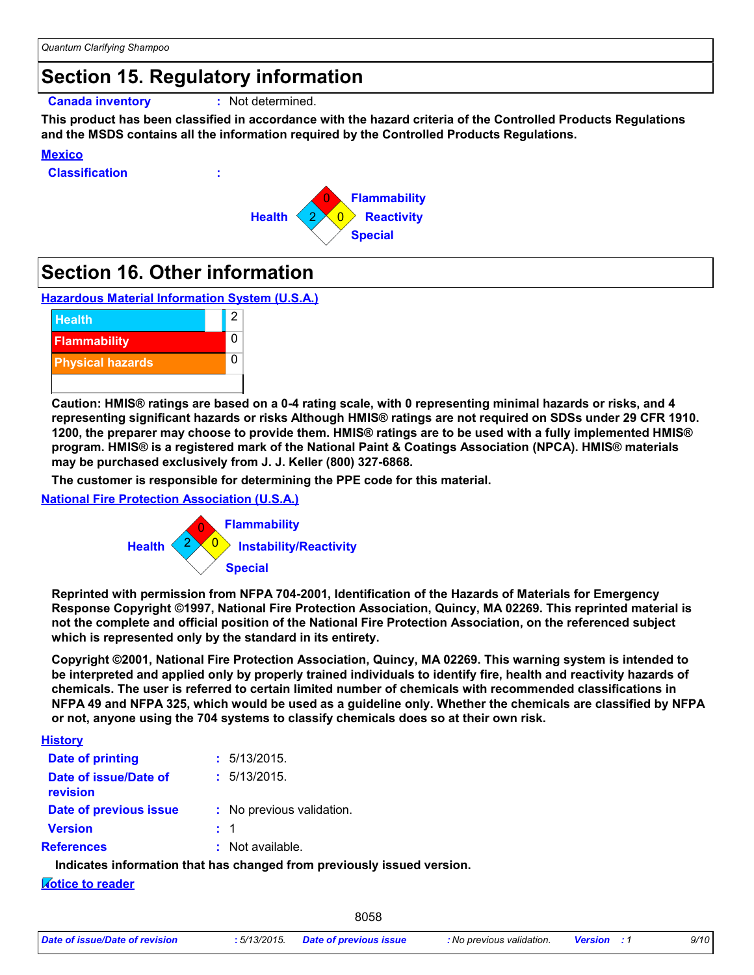## **Section 15. Regulatory information**

**Canada inventory :** Not determined.

**This product has been classified in accordance with the hazard criteria of the Controlled Products Regulations and the MSDS contains all the information required by the Controlled Products Regulations.**

### **Mexico**

**Classification :**



## **Section 16. Other information**

**Hazardous Material Information System (U.S.A.)**



**Caution: HMIS® ratings are based on a 0-4 rating scale, with 0 representing minimal hazards or risks, and 4 representing significant hazards or risks Although HMIS® ratings are not required on SDSs under 29 CFR 1910. 1200, the preparer may choose to provide them. HMIS® ratings are to be used with a fully implemented HMIS® program. HMIS® is a registered mark of the National Paint & Coatings Association (NPCA). HMIS® materials may be purchased exclusively from J. J. Keller (800) 327-6868.**

**The customer is responsible for determining the PPE code for this material.**

### **National Fire Protection Association (U.S.A.)**



**Reprinted with permission from NFPA 704-2001, Identification of the Hazards of Materials for Emergency Response Copyright ©1997, National Fire Protection Association, Quincy, MA 02269. This reprinted material is not the complete and official position of the National Fire Protection Association, on the referenced subject which is represented only by the standard in its entirety.**

**Copyright ©2001, National Fire Protection Association, Quincy, MA 02269. This warning system is intended to be interpreted and applied only by properly trained individuals to identify fire, health and reactivity hazards of chemicals. The user is referred to certain limited number of chemicals with recommended classifications in NFPA 49 and NFPA 325, which would be used as a guideline only. Whether the chemicals are classified by NFPA or not, anyone using the 704 systems to classify chemicals does so at their own risk.**

### **History**

| : 5/13/2015.              |
|---------------------------|
| : 5/13/2015.              |
| : No previous validation. |
| : 1                       |
| $:$ Not available.        |
|                           |

**Indicates information that has changed from previously issued version.**

### **Notice to reader**